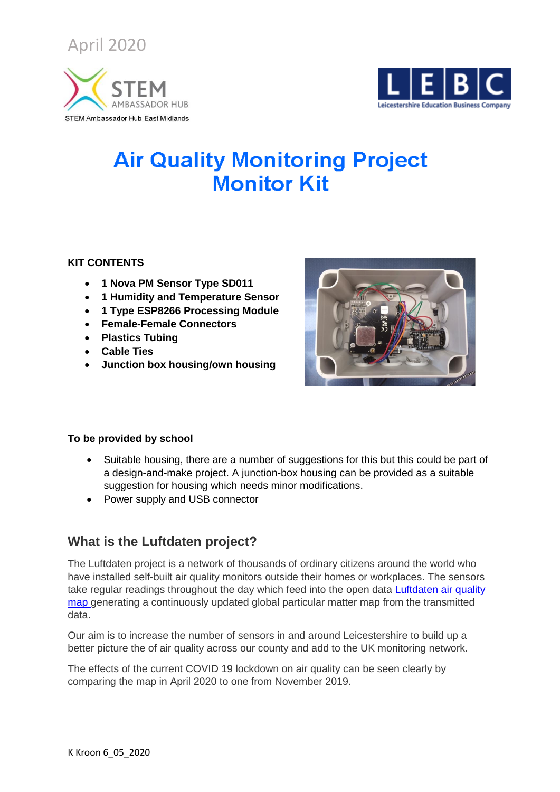April 2020





# **Air Quality Monitoring Project Monitor Kit**

#### **KIT CONTENTS**

- **1 Nova PM Sensor Type SD011**
- **1 Humidity and Temperature Sensor**
- **1 Type ESP8266 Processing Module**
- **Female-Female Connectors**
- **Plastics Tubing**
- **Cable Ties**
- **Junction box housing/own housing**



#### **To be provided by school**

- Suitable housing, there are a number of suggestions for this but this could be part of a design-and-make project. A junction-box housing can be provided as a suitable suggestion for housing which needs minor modifications.
- Power supply and USB connector

## **What is the Luftdaten project?**

The Luftdaten project is a network of thousands of ordinary citizens around the world who have installed self-built air quality monitors outside their homes or workplaces. The sensors take regular readings throughout the day which feed into the open data Luftdaten air quality [map](https://luftdaten.info/en/home-en/) generating a continuously updated global particular matter map from the transmitted data.

Our aim is to increase the number of sensors in and around Leicestershire to build up a better picture the of air quality across our county and add to the UK monitoring network.

The effects of the current COVID 19 lockdown on air quality can be seen clearly by comparing the map in April 2020 to one from November 2019.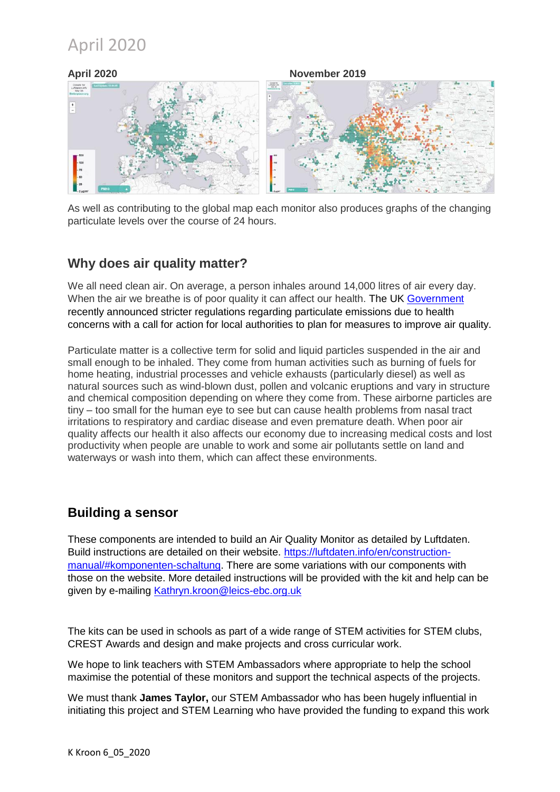## April 2020



As well as contributing to the global map each monitor also produces graphs of the changing particulate levels over the course of 24 hours.

### **Why does air quality matter?**

We all need clean air. On average, a person inhales around 14,000 litres of air every day. When the air we breathe is of poor quality it can affect our health. The UK [Government](https://www.gov.uk/government/publications/health-matters-air-pollution/health-matters-air-pollution#call-to-action-reducing-air-pollution) recently announced stricter regulations regarding particulate emissions due to health concerns with a call for action for local authorities to plan for measures to improve air quality.

Particulate matter is a collective term for solid and liquid particles suspended in the air and small enough to be inhaled. They come from human activities such as burning of fuels for home heating, industrial processes and vehicle exhausts (particularly diesel) as well as natural sources such as wind-blown dust, pollen and volcanic eruptions and vary in structure and chemical composition depending on where they come from. These airborne particles are tiny – too small for the human eye to see but can cause health problems from nasal tract irritations to respiratory and cardiac disease and even premature death. When poor air quality affects our health it also affects our economy due to increasing medical costs and lost productivity when people are unable to work and some air pollutants settle on land and waterways or wash into them, which can affect these environments.

#### **Building a sensor**

These components are intended to build an Air Quality Monitor as detailed by Luftdaten. Build instructions are detailed on their website. [https://luftdaten.info/en/construction](https://luftdaten.info/en/construction-manual/#komponenten-schaltung)[manual/#komponenten-schaltung.](https://luftdaten.info/en/construction-manual/#komponenten-schaltung) There are some variations with our components with those on the website. More detailed instructions will be provided with the kit and help can be given by e-mailing [Kathryn.kroon@leics-ebc.org.uk](mailto:Kathryn.kroon@leics-ebc.org.uk)

The kits can be used in schools as part of a wide range of STEM activities for STEM clubs, CREST Awards and design and make projects and cross curricular work.

We hope to link teachers with STEM Ambassadors where appropriate to help the school maximise the potential of these monitors and support the technical aspects of the projects.

We must thank **James Taylor,** our STEM Ambassador who has been hugely influential in initiating this project and STEM Learning who have provided the funding to expand this work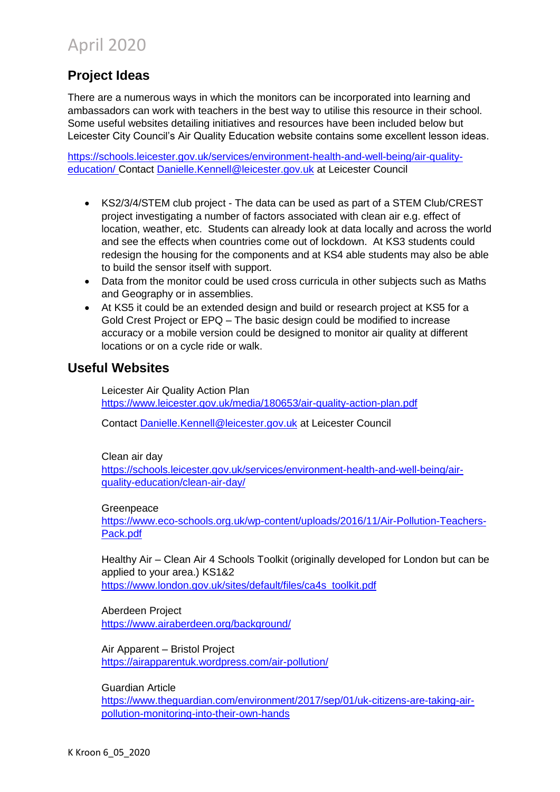## **Project Ideas**

There are a numerous ways in which the monitors can be incorporated into learning and ambassadors can work with teachers in the best way to utilise this resource in their school. Some useful websites detailing initiatives and resources have been included below but Leicester City Council's Air Quality Education website contains some excellent lesson ideas.

[https://schools.leicester.gov.uk/services/environment-health-and-well-being/air-quality](https://schools.leicester.gov.uk/services/environment-health-and-well-being/air-quality-education/)[education/](https://schools.leicester.gov.uk/services/environment-health-and-well-being/air-quality-education/) Contact [Danielle.Kennell@leicester.gov.uk](mailto:Danielle.Kennell@leicester.gov.uk) at Leicester Council

- KS2/3/4/STEM club project The data can be used as part of a STEM Club/CREST project investigating a number of factors associated with clean air e.g. effect of location, weather, etc. Students can already look at data locally and across the world and see the effects when countries come out of lockdown. At KS3 students could redesign the housing for the components and at KS4 able students may also be able to build the sensor itself with support.
- Data from the monitor could be used cross curricula in other subjects such as Maths and Geography or in assemblies.
- At KS5 it could be an extended design and build or research project at KS5 for a Gold Crest Project or EPQ – The basic design could be modified to increase accuracy or a mobile version could be designed to monitor air quality at different locations or on a cycle ride or walk.

### **Useful Websites**

Leicester Air Quality Action Plan <https://www.leicester.gov.uk/media/180653/air-quality-action-plan.pdf>

Contact [Danielle.Kennell@leicester.gov.uk](mailto:Danielle.Kennell@leicester.gov.uk) at Leicester Council

Clean air day

[https://schools.leicester.gov.uk/services/environment-health-and-well-being/air](https://schools.leicester.gov.uk/services/environment-health-and-well-being/air-quality-education/clean-air-day/)[quality-education/clean-air-day/](https://schools.leicester.gov.uk/services/environment-health-and-well-being/air-quality-education/clean-air-day/)

#### Greenpeace

[https://www.eco-schools.org.uk/wp-content/uploads/2016/11/Air-Pollution-Teachers-](https://www.eco-schools.org.uk/wp-content/uploads/2016/11/Air-Pollution-Teachers-Pack.pdf)[Pack.pdf](https://www.eco-schools.org.uk/wp-content/uploads/2016/11/Air-Pollution-Teachers-Pack.pdf)

Healthy Air – Clean Air 4 Schools Toolkit (originally developed for London but can be applied to your area.) KS1&2 [https://www.london.gov.uk/sites/default/files/ca4s\\_toolkit.pdf](https://www.london.gov.uk/sites/default/files/ca4s_toolkit.pdf)

Aberdeen Project <https://www.airaberdeen.org/background/>

Air Apparent – Bristol Project <https://airapparentuk.wordpress.com/air-pollution/>

Guardian Article

[https://www.theguardian.com/environment/2017/sep/01/uk-citizens-are-taking-air](https://www.theguardian.com/environment/2017/sep/01/uk-citizens-are-taking-air-pollution-monitoring-into-their-own-hands)[pollution-monitoring-into-their-own-hands](https://www.theguardian.com/environment/2017/sep/01/uk-citizens-are-taking-air-pollution-monitoring-into-their-own-hands)